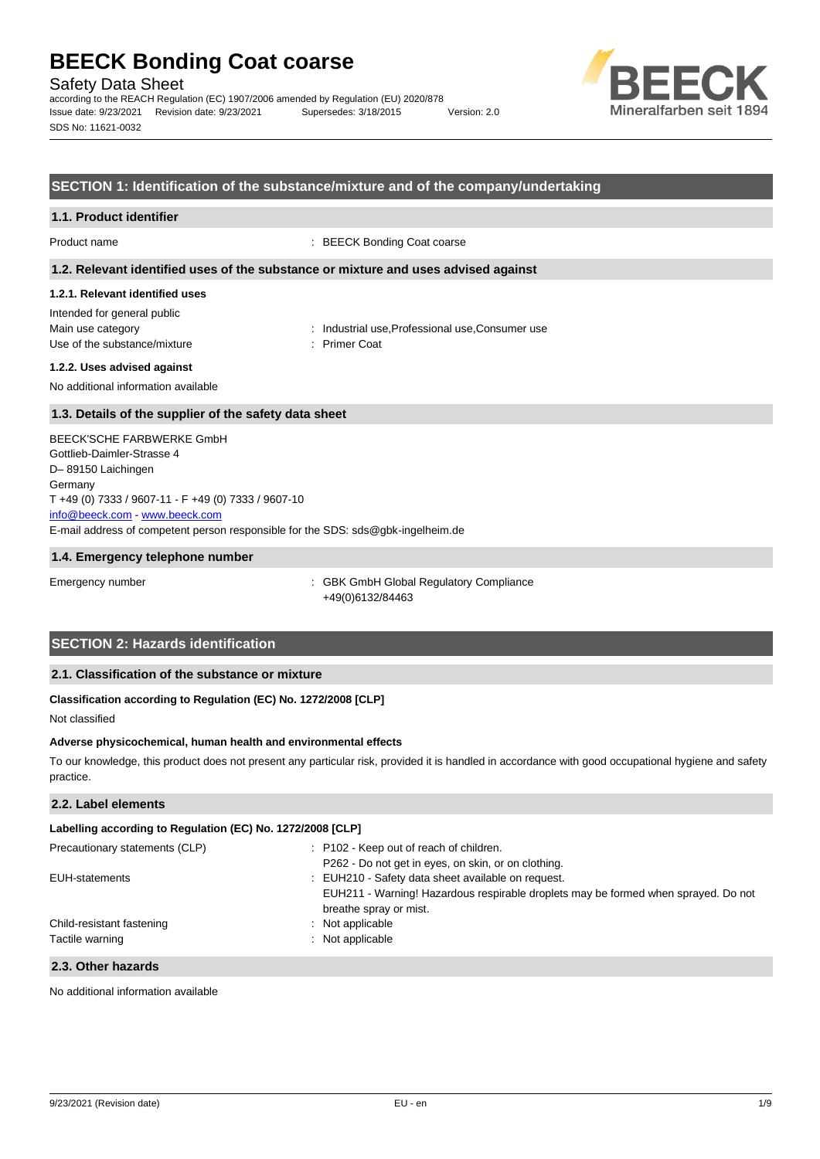Safety Data Sheet

according to the REACH Regulation (EC) 1907/2006 amended by Regulation (EU) 2020/878 Issue date: 9/23/2021 Revision date: 9/23/2021 Supersedes: 3/18/2015 Version: 2.0 SDS No: 11621-0032



#### **SECTION 1: Identification of the substance/mixture and of the company/undertaking**

#### **1.1. Product identifier**

Product name  $\qquad \qquad : \text{BEECK Bonding Coast coarse}$ 

#### **1.2. Relevant identified uses of the substance or mixture and uses advised against**

#### **1.2.1. Relevant identified uses**

Intended for general public Main use category **industrial use, Professional use, Consumer use** industrial use, Professional use, Consumer use Use of the substance/mixture in the substance in the set of the substance in the set of the substance in the s

#### **1.2.2. Uses advised against**

No additional information available

#### **1.3. Details of the supplier of the safety data sheet**

E-mail address of competent person responsible for the SDS: sds@gbk-ingelheim.de BEECK'SCHE FARBWERKE GmbH Gottlieb-Daimler-Strasse 4 D– 89150 Laichingen Germany T +49 (0) 7333 / 9607-11 - F +49 (0) 7333 / 9607-10 [info@beeck.com](mailto:info@beeck.com) - [www.beeck.com](http://www.beeck.com/)

#### **1.4. Emergency telephone number**

Emergency number **Emergency** number : GBK GmbH Global Regulatory Compliance +49(0)6132/84463

## **SECTION 2: Hazards identification**

#### **2.1. Classification of the substance or mixture**

#### **Classification according to Regulation (EC) No. 1272/2008 [CLP]**

Not classified

#### **Adverse physicochemical, human health and environmental effects**

To our knowledge, this product does not present any particular risk, provided it is handled in accordance with good occupational hygiene and safety practice.

#### **2.2. Label elements**

| Labelling according to Regulation (EC) No. 1272/2008 [CLP] |                                                                                                                                                                    |  |  |
|------------------------------------------------------------|--------------------------------------------------------------------------------------------------------------------------------------------------------------------|--|--|
| Precautionary statements (CLP)                             | : P102 - Keep out of reach of children.<br>P262 - Do not get in eyes, on skin, or on clothing.                                                                     |  |  |
| EUH-statements                                             | : EUH210 - Safety data sheet available on request.<br>EUH211 - Warning! Hazardous respirable droplets may be formed when sprayed. Do not<br>breathe spray or mist. |  |  |
| Child-resistant fastening<br>Tactile warning               | $\therefore$ Not applicable<br>: Not applicable                                                                                                                    |  |  |
|                                                            |                                                                                                                                                                    |  |  |

#### **2.3. Other hazards**

No additional information available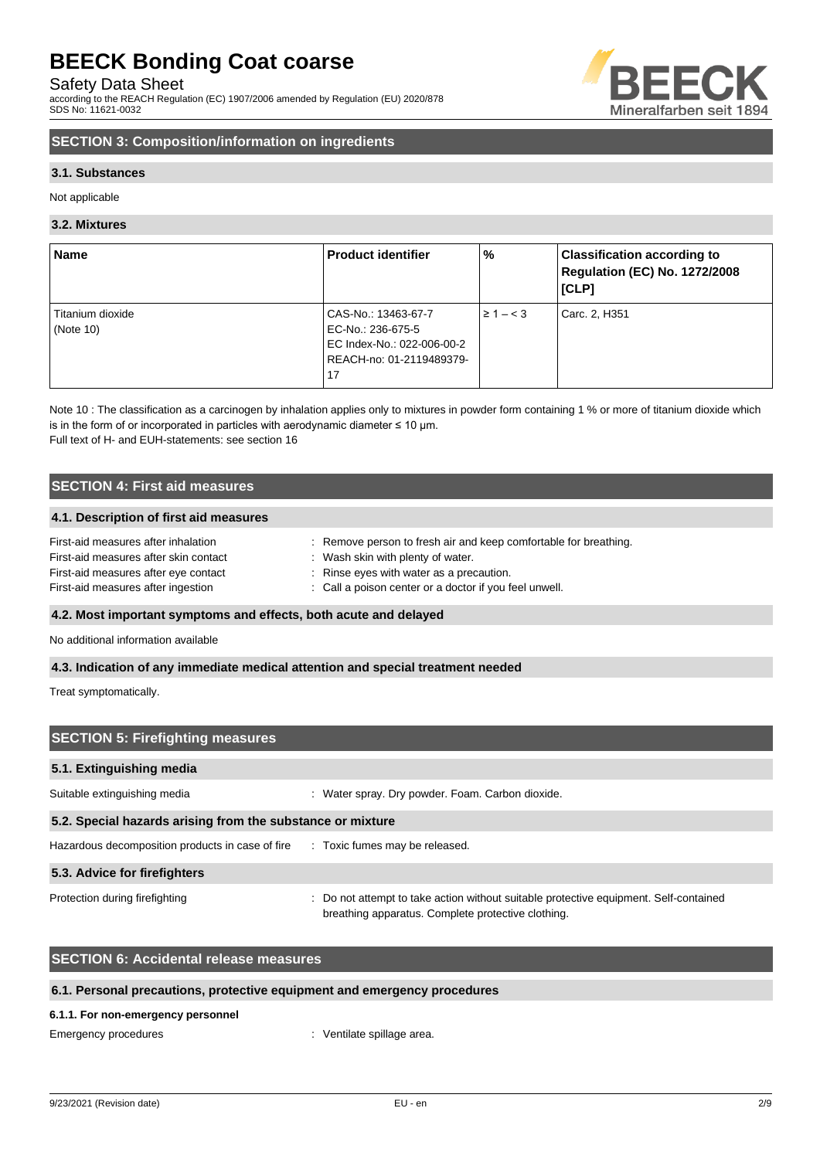Safety Data Sheet

according to the REACH Regulation (EC) 1907/2006 amended by Regulation (EU) 2020/878 SDS No: 11621-0032



## **SECTION 3: Composition/information on ingredients**

#### **3.1. Substances**

Not applicable

#### **3.2. Mixtures**

| <b>Name</b>      | <b>Product identifier</b>  | %              | <b>Classification according to</b><br>Regulation (EC) No. 1272/2008<br>[CLP] |
|------------------|----------------------------|----------------|------------------------------------------------------------------------------|
| Titanium dioxide | CAS-No.: 13463-67-7        | $\geq 1 - < 3$ | Carc. 2, H351                                                                |
| (Note $10$ )     | EC-No.: 236-675-5          |                |                                                                              |
|                  | EC Index-No.: 022-006-00-2 |                |                                                                              |
|                  | REACH-no: 01-2119489379-   |                |                                                                              |
|                  | 17                         |                |                                                                              |

Note 10 : The classification as a carcinogen by inhalation applies only to mixtures in powder form containing 1 % or more of titanium dioxide which is in the form of or incorporated in particles with aerodynamic diameter  $\leq 10$  µm. Full text of H- and EUH-statements: see section 16

### **SECTION 4: First aid measures**

#### **4.1. Description of first aid measures**

| First-aid measures after inhalation   | Remove person to fresh air and keep comfortable for breathing. |
|---------------------------------------|----------------------------------------------------------------|
| First-aid measures after skin contact | : Wash skin with plenty of water.                              |
| First-aid measures after eye contact  | : Rinse eyes with water as a precaution.                       |
| First-aid measures after ingestion    | : Call a poison center or a doctor if you feel unwell.         |

#### **4.2. Most important symptoms and effects, both acute and delayed**

No additional information available

#### **4.3. Indication of any immediate medical attention and special treatment needed**

Treat symptomatically.

| <b>SECTION 5: Firefighting measures</b>                                         |                                                                                                                                             |  |  |  |
|---------------------------------------------------------------------------------|---------------------------------------------------------------------------------------------------------------------------------------------|--|--|--|
| 5.1. Extinguishing media                                                        |                                                                                                                                             |  |  |  |
| Suitable extinguishing media                                                    | Water spray. Dry powder. Foam. Carbon dioxide.<br>÷                                                                                         |  |  |  |
| 5.2. Special hazards arising from the substance or mixture                      |                                                                                                                                             |  |  |  |
| Hazardous decomposition products in case of fire : Toxic fumes may be released. |                                                                                                                                             |  |  |  |
| 5.3. Advice for firefighters                                                    |                                                                                                                                             |  |  |  |
| Protection during firefighting                                                  | : Do not attempt to take action without suitable protective equipment. Self-contained<br>breathing apparatus. Complete protective clothing. |  |  |  |

### **SECTION 6: Accidental release measures**

#### **6.1. Personal precautions, protective equipment and emergency procedures**

#### **6.1.1. For non-emergency personnel**

Emergency procedures in the spillage area.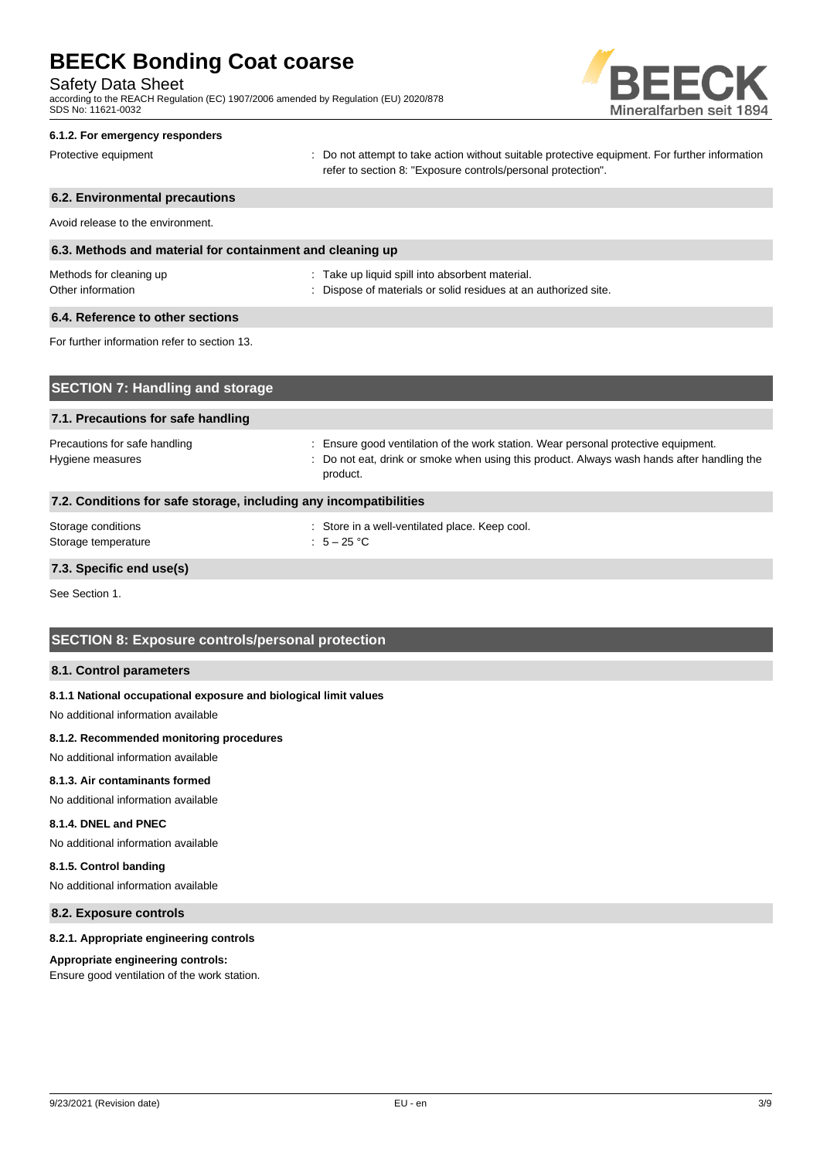Safety Data Sheet

according to the REACH Regulation (EC) 1907/2006 amended by Regulation (EU) 2020/878 SDS No: 11621-0032



## **6.1.2. For emergency responders** Protective equipment **interval of the CO** not attempt to take action without suitable protective equipment. For further information refer to section 8: "Exposure controls/personal protection". **6.2. Environmental precautions** Avoid release to the environment. **6.3. Methods and material for containment and cleaning up**

| Methods for cleaning up | : Take up liquid spill into absorbent material.                 |  |
|-------------------------|-----------------------------------------------------------------|--|
| Other information       | : Dispose of materials or solid residues at an authorized site. |  |
|                         |                                                                 |  |

## **6.4. Reference to other sections**

For further information refer to section 13.

| <b>SECTION 7: Handling and storage</b>                            |                                                                                                                                                                                                     |  |  |  |
|-------------------------------------------------------------------|-----------------------------------------------------------------------------------------------------------------------------------------------------------------------------------------------------|--|--|--|
| 7.1. Precautions for safe handling                                |                                                                                                                                                                                                     |  |  |  |
| Precautions for safe handling<br>Hygiene measures                 | Ensure good ventilation of the work station. Wear personal protective equipment.<br>÷<br>Do not eat, drink or smoke when using this product. Always wash hands after handling the<br>÷.<br>product. |  |  |  |
| 7.2. Conditions for safe storage, including any incompatibilities |                                                                                                                                                                                                     |  |  |  |
| Storage conditions<br>Storage temperature                         | : Store in a well-ventilated place. Keep cool.<br>: $5-25$ °C                                                                                                                                       |  |  |  |
|                                                                   |                                                                                                                                                                                                     |  |  |  |

**7.3. Specific end use(s)**

See Section 1.

### **SECTION 8: Exposure controls/personal protection**

#### **8.1. Control parameters**

#### **8.1.1 National occupational exposure and biological limit values**

No additional information available

#### **8.1.2. Recommended monitoring procedures**

No additional information available

#### **8.1.3. Air contaminants formed**

No additional information available

### **8.1.4. DNEL and PNEC**

No additional information available

#### **8.1.5. Control banding**

No additional information available

#### **8.2. Exposure controls**

#### **8.2.1. Appropriate engineering controls**

#### **Appropriate engineering controls:**

Ensure good ventilation of the work station.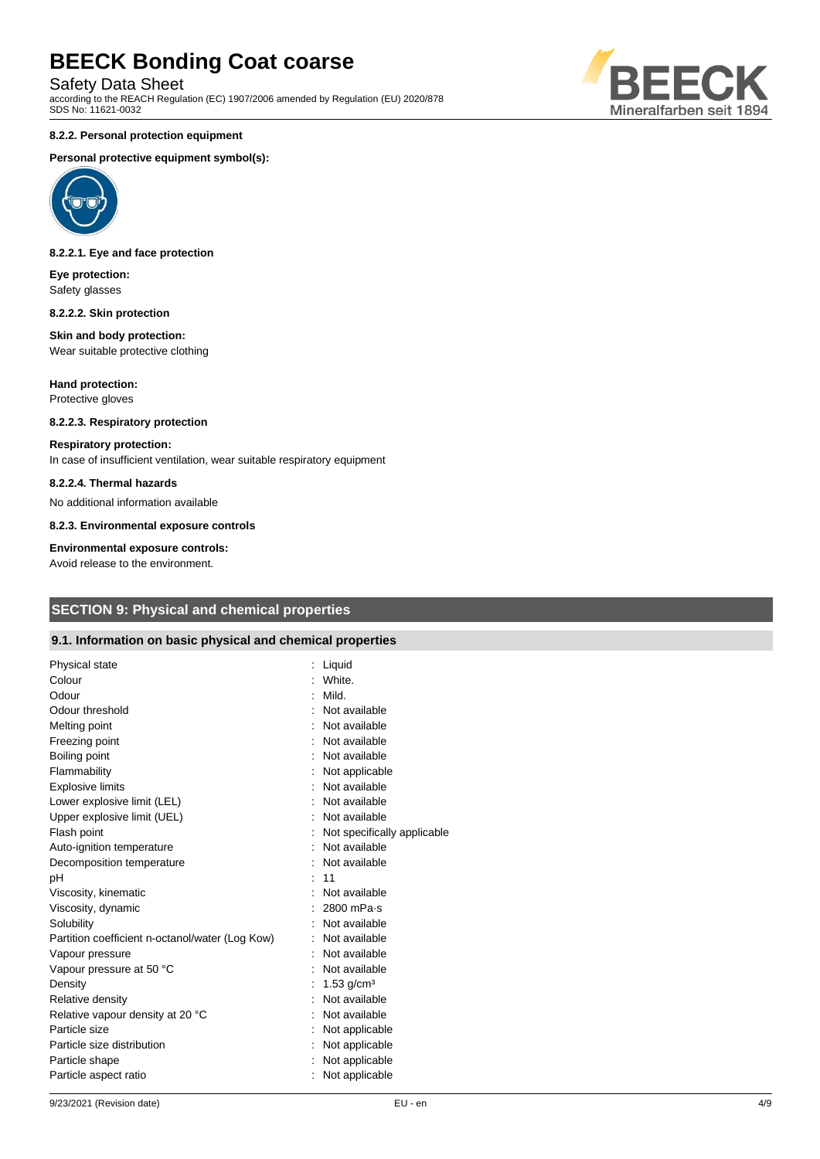Safety Data Sheet

according to the REACH Regulation (EC) 1907/2006 amended by Regulation (EU) 2020/878 SDS No: 11621-0032

#### **8.2.2. Personal protection equipment**

#### **Personal protective equipment symbol(s):**



#### **8.2.2.1. Eye and face protection**

**Eye protection:** Safety glasses

#### **8.2.2.2. Skin protection**

#### **Skin and body protection:** Wear suitable protective clothing

**Hand protection:** Protective gloves

### **8.2.2.3. Respiratory protection**

#### **Respiratory protection:**

In case of insufficient ventilation, wear suitable respiratory equipment

#### **8.2.2.4. Thermal hazards**

No additional information available

**8.2.3. Environmental exposure controls**

#### **Environmental exposure controls:**

Avoid release to the environment.

## **SECTION 9: Physical and chemical properties**

#### **9.1. Information on basic physical and chemical properties**

| Physical state                                  | Liquid                      |
|-------------------------------------------------|-----------------------------|
| Colour                                          | White.                      |
| Odour                                           | Mild.                       |
| Odour threshold                                 | Not available               |
| Melting point                                   | Not available               |
| Freezing point                                  | Not available               |
| Boiling point                                   | Not available               |
| Flammability                                    | Not applicable              |
| <b>Explosive limits</b>                         | Not available               |
| Lower explosive limit (LEL)                     | Not available               |
| Upper explosive limit (UEL)                     | Not available               |
| Flash point                                     | Not specifically applicable |
| Auto-ignition temperature                       | Not available               |
| Decomposition temperature                       | Not available               |
| pH                                              | 11                          |
| Viscosity, kinematic                            | Not available               |
| Viscosity, dynamic                              | 2800 mPa-s                  |
| Solubility                                      | Not available               |
| Partition coefficient n-octanol/water (Log Kow) | Not available               |
| Vapour pressure                                 | Not available               |
| Vapour pressure at 50 °C                        | Not available               |
| Density                                         | $1.53$ g/cm <sup>3</sup>    |
| Relative density                                | Not available               |
| Relative vapour density at 20 °C                | Not available               |
| Particle size                                   | Not applicable              |
| Particle size distribution                      | Not applicable              |
| Particle shape                                  | Not applicable              |
| Particle aspect ratio                           | Not applicable              |
|                                                 |                             |

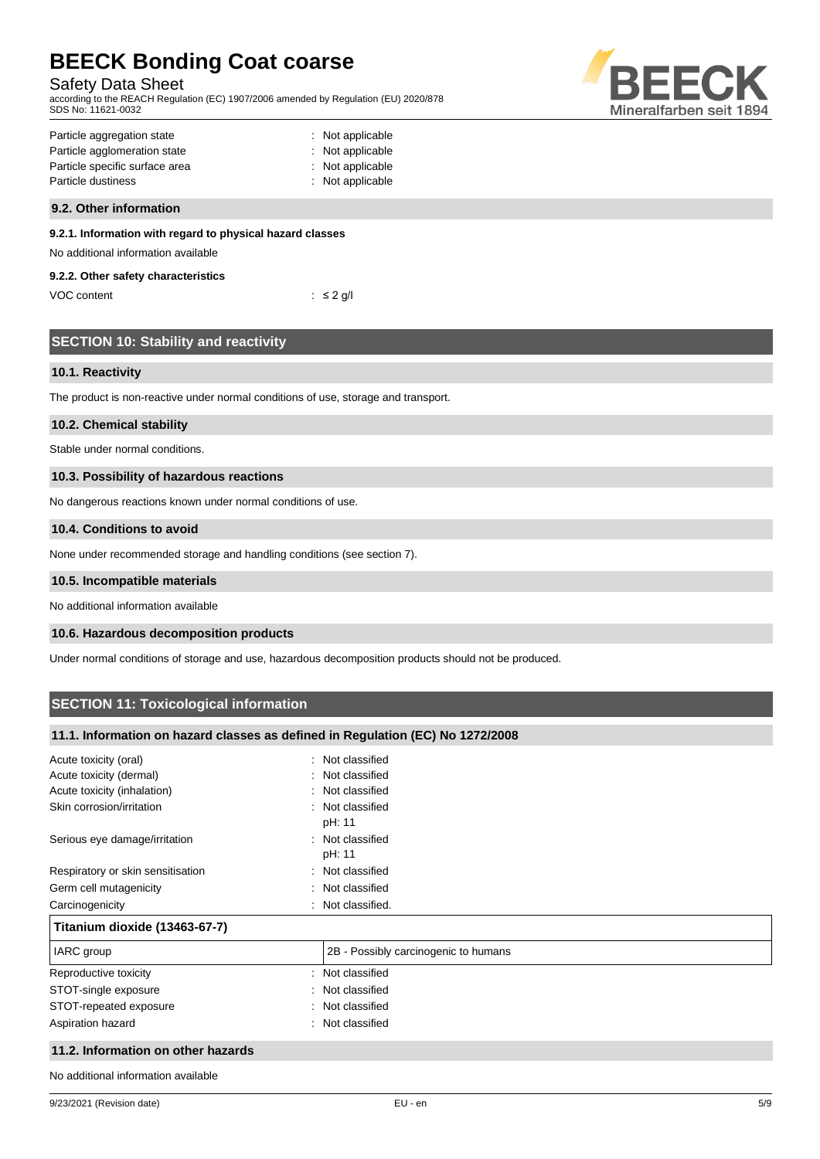#### Safety Data Sheet

according to the REACH Regulation (EC) 1907/2006 amended by Regulation (EU) 2020/878 SDS No: 11621-0032



| Particle aggregation state     | : Not applicable |
|--------------------------------|------------------|
| Particle agglomeration state   | : Not applicable |
| Particle specific surface area | : Not applicable |
| Particle dustiness             | : Not applicable |
|                                |                  |

#### **9.2. Other information**

#### **9.2.1. Information with regard to physical hazard classes**

No additional information available

#### **9.2.2. Other safety characteristics**

VOC content  $\qquad \qquad : \leq 2 \text{ g/l}$ 

|  | <b>SECTION 10: Stability and reactivity</b> |
|--|---------------------------------------------|
|  |                                             |
|  |                                             |

#### **10.1. Reactivity**

The product is non-reactive under normal conditions of use, storage and transport.

#### **10.2. Chemical stability**

Stable under normal conditions.

#### **10.3. Possibility of hazardous reactions**

No dangerous reactions known under normal conditions of use.

#### **10.4. Conditions to avoid**

None under recommended storage and handling conditions (see section 7).

#### **10.5. Incompatible materials**

No additional information available

#### **10.6. Hazardous decomposition products**

Under normal conditions of storage and use, hazardous decomposition products should not be produced.

## **SECTION 11: Toxicological information**

#### **11.1. Information on hazard classes as defined in Regulation (EC) No 1272/2008**

| Acute toxicity (oral)              | Not classified                       |
|------------------------------------|--------------------------------------|
| Acute toxicity (dermal)            | Not classified                       |
| Acute toxicity (inhalation)        | : Not classified                     |
| Skin corrosion/irritation          | : Not classified<br>pH: 11           |
| Serious eye damage/irritation      | : Not classified<br>pH: 11           |
| Respiratory or skin sensitisation  | : Not classified                     |
| Germ cell mutagenicity             | Not classified                       |
| Carcinogenicity                    | Not classified.                      |
| Titanium dioxide (13463-67-7)      |                                      |
| IARC group                         | 2B - Possibly carcinogenic to humans |
| Reproductive toxicity              | Not classified                       |
| STOT-single exposure               | Not classified                       |
| STOT-repeated exposure             | Not classified                       |
| Aspiration hazard                  | Not classified                       |
| 11.2. Information on other hazards |                                      |

No additional information available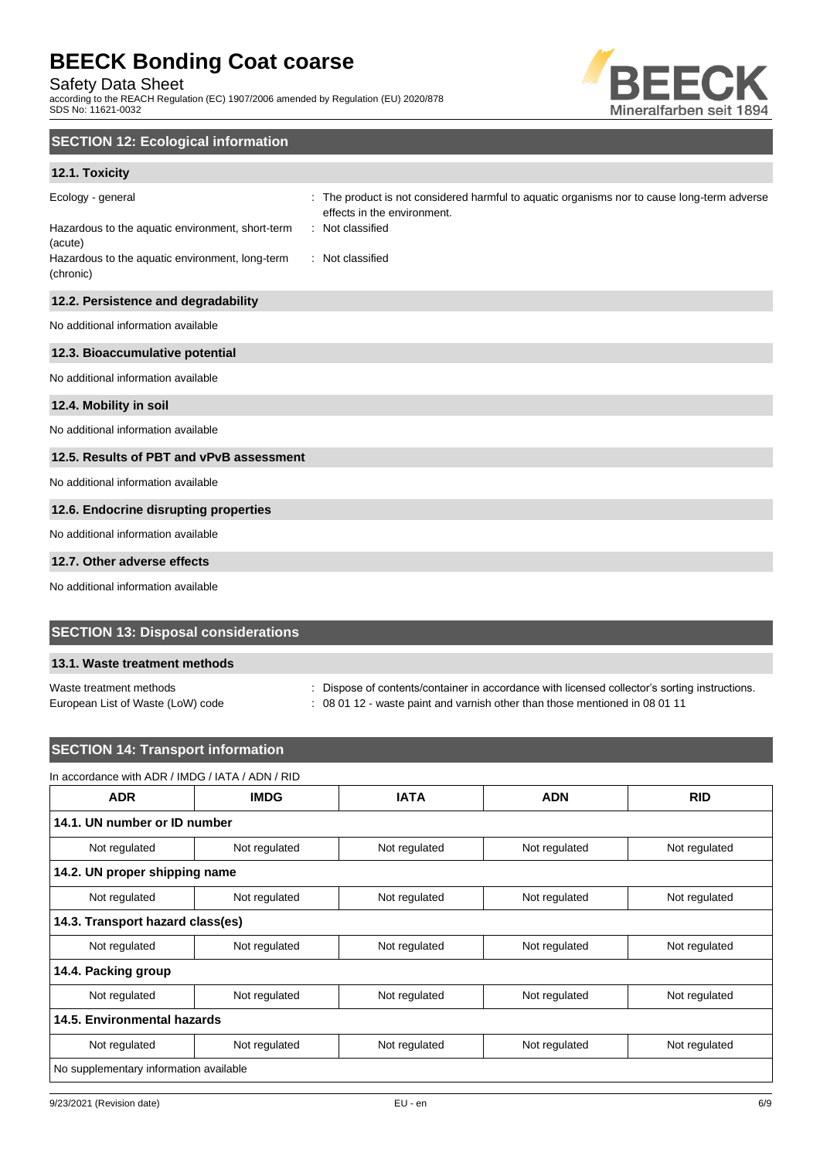Safety Data Sheet

according to the REACH Regulation (EC) 1907/2006 amended by Regulation (EU) 2020/878 SDS No: 11621-0032



## **SECTION 12: Ecological information**

### **12.1. Toxicity**

| Ecology - general<br>Hazardous to the aquatic environment, short-term<br>(acute)<br>Hazardous to the aquatic environment, long-term | The product is not considered harmful to aquatic organisms nor to cause long-term adverse<br>effects in the environment.<br>: Not classified<br>: Not classified |
|-------------------------------------------------------------------------------------------------------------------------------------|------------------------------------------------------------------------------------------------------------------------------------------------------------------|
| (chronic)                                                                                                                           |                                                                                                                                                                  |
| 12.2. Persistence and degradability                                                                                                 |                                                                                                                                                                  |
| No additional information available                                                                                                 |                                                                                                                                                                  |
| 12.3. Bioaccumulative potential                                                                                                     |                                                                                                                                                                  |
| No additional information available                                                                                                 |                                                                                                                                                                  |
| 12.4. Mobility in soil                                                                                                              |                                                                                                                                                                  |
| No additional information available                                                                                                 |                                                                                                                                                                  |
| 12.5. Results of PBT and vPvB assessment                                                                                            |                                                                                                                                                                  |
| No additional information available                                                                                                 |                                                                                                                                                                  |
| 12.6. Endocrine disrupting properties                                                                                               |                                                                                                                                                                  |
| No additional information available                                                                                                 |                                                                                                                                                                  |
| 12.7. Other adverse effects                                                                                                         |                                                                                                                                                                  |
| No additional information available                                                                                                 |                                                                                                                                                                  |

## **SECTION 13: Disposal considerations**

#### **13.1. Waste treatment methods**

Waste treatment methods : Dispose of contents/container in accordance with licensed collector's sorting instructions.

European List of Waste (LoW) code : 08 01 12 - waste paint and varnish other than those mentioned in 08 01 11

## **SECTION 14: Transport information**

## In accordance with ADR / IMDG / IATA / ADN / RID

| <b>ADR</b>                             | <b>IMDG</b>                      | <b>IATA</b>   | <b>ADN</b>    | <b>RID</b>    |  |  |
|----------------------------------------|----------------------------------|---------------|---------------|---------------|--|--|
| 14.1. UN number or ID number           |                                  |               |               |               |  |  |
| Not regulated                          | Not regulated                    | Not regulated | Not regulated | Not regulated |  |  |
|                                        | 14.2. UN proper shipping name    |               |               |               |  |  |
| Not regulated                          | Not regulated                    | Not regulated | Not regulated | Not regulated |  |  |
|                                        | 14.3. Transport hazard class(es) |               |               |               |  |  |
| Not regulated                          | Not regulated                    | Not regulated | Not regulated | Not regulated |  |  |
| 14.4. Packing group                    |                                  |               |               |               |  |  |
| Not regulated                          | Not regulated                    | Not regulated | Not regulated | Not regulated |  |  |
| 14.5. Environmental hazards            |                                  |               |               |               |  |  |
| Not regulated                          | Not regulated                    | Not regulated | Not regulated | Not regulated |  |  |
| No supplementary information available |                                  |               |               |               |  |  |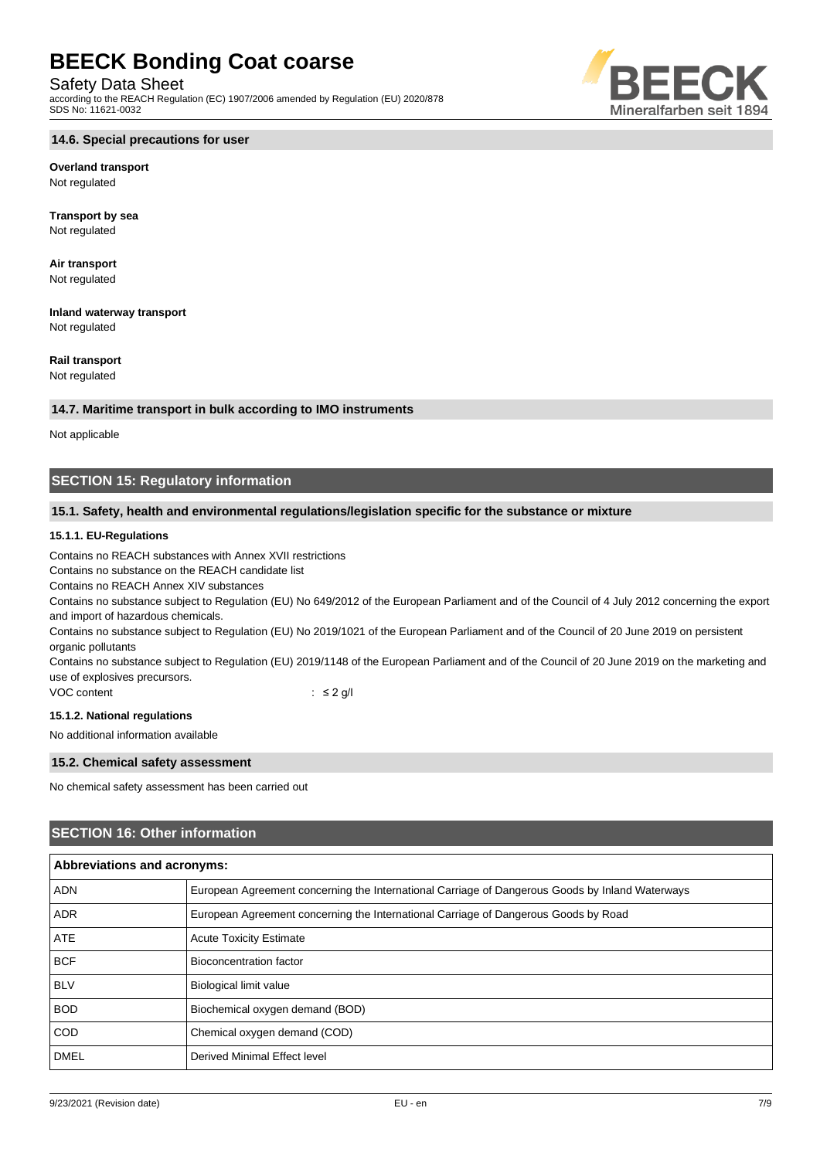#### Safety Data Sheet

according to the REACH Regulation (EC) 1907/2006 amended by Regulation (EU) 2020/878 SDS No: 11621-0032



## **Overland transport**

Not regulated

**Transport by sea** Not regulated

**Air transport** Not regulated

**Inland waterway transport** Not regulated

### **Rail transport**

Not regulated

#### **14.7. Maritime transport in bulk according to IMO instruments**

Not applicable

## **SECTION 15: Regulatory information**

#### **15.1. Safety, health and environmental regulations/legislation specific for the substance or mixture**

#### **15.1.1. EU-Regulations**

Contains no REACH substances with Annex XVII restrictions

Contains no substance on the REACH candidate list

Contains no REACH Annex XIV substances

Contains no substance subject to Regulation (EU) No 649/2012 of the European Parliament and of the Council of 4 July 2012 concerning the export and import of hazardous chemicals.

Contains no substance subject to Regulation (EU) No 2019/1021 of the European Parliament and of the Council of 20 June 2019 on persistent organic pollutants

Contains no substance subject to Regulation (EU) 2019/1148 of the European Parliament and of the Council of 20 June 2019 on the marketing and use of explosives precursors.

VOC content : ≤ 2 g/l

#### **15.1.2. National regulations**

No additional information available

#### **15.2. Chemical safety assessment**

No chemical safety assessment has been carried out

### **SECTION 16: Other information**

| <b>Abbreviations and acronyms:</b> |                                                                                                 |  |
|------------------------------------|-------------------------------------------------------------------------------------------------|--|
| <b>ADN</b>                         | European Agreement concerning the International Carriage of Dangerous Goods by Inland Waterways |  |
| <b>ADR</b>                         | European Agreement concerning the International Carriage of Dangerous Goods by Road             |  |
| <b>ATE</b>                         | <b>Acute Toxicity Estimate</b>                                                                  |  |
| <b>BCF</b>                         | <b>Bioconcentration factor</b>                                                                  |  |
| <b>BLV</b>                         | <b>Biological limit value</b>                                                                   |  |
| <b>BOD</b>                         | Biochemical oxygen demand (BOD)                                                                 |  |
| <b>COD</b>                         | Chemical oxygen demand (COD)                                                                    |  |
| <b>DMEL</b>                        | Derived Minimal Effect level                                                                    |  |



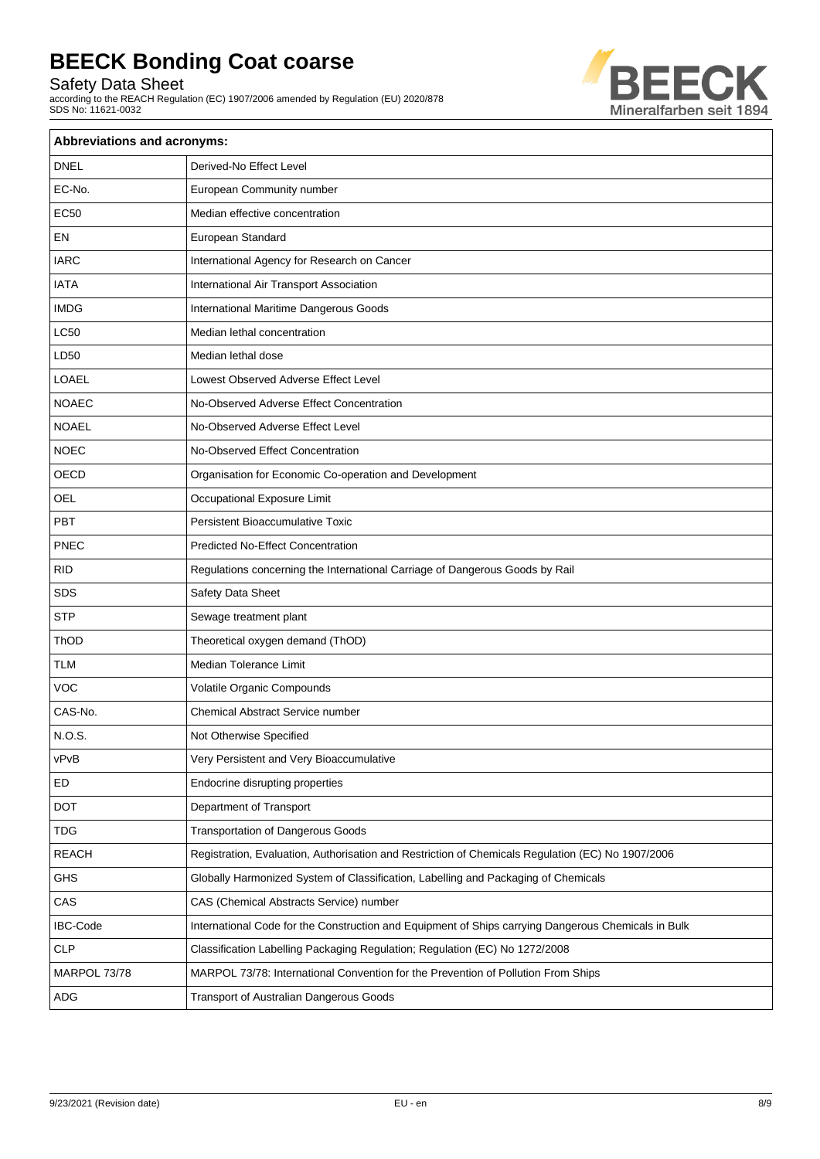Safety Data Sheet

according to the REACH Regulation (EC) 1907/2006 amended by Regulation (EU) 2020/878 SDS No: 11621-0032



| Abbreviations and acronyms: |                                                                                                     |  |
|-----------------------------|-----------------------------------------------------------------------------------------------------|--|
| <b>DNEL</b>                 | Derived-No Effect Level                                                                             |  |
| EC-No.                      | European Community number                                                                           |  |
| <b>EC50</b>                 | Median effective concentration                                                                      |  |
| EN                          | European Standard                                                                                   |  |
| <b>IARC</b>                 | International Agency for Research on Cancer                                                         |  |
| <b>IATA</b>                 | International Air Transport Association                                                             |  |
| <b>IMDG</b>                 | International Maritime Dangerous Goods                                                              |  |
| <b>LC50</b>                 | Median lethal concentration                                                                         |  |
| LD50                        | Median lethal dose                                                                                  |  |
| <b>LOAEL</b>                | Lowest Observed Adverse Effect Level                                                                |  |
| <b>NOAEC</b>                | No-Observed Adverse Effect Concentration                                                            |  |
| <b>NOAEL</b>                | No-Observed Adverse Effect Level                                                                    |  |
| <b>NOEC</b>                 | No-Observed Effect Concentration                                                                    |  |
| OECD                        | Organisation for Economic Co-operation and Development                                              |  |
| OEL                         | Occupational Exposure Limit                                                                         |  |
| PBT                         | <b>Persistent Bioaccumulative Toxic</b>                                                             |  |
| PNEC                        | <b>Predicted No-Effect Concentration</b>                                                            |  |
| <b>RID</b>                  | Regulations concerning the International Carriage of Dangerous Goods by Rail                        |  |
| SDS                         | Safety Data Sheet                                                                                   |  |
| <b>STP</b>                  | Sewage treatment plant                                                                              |  |
| ThOD                        | Theoretical oxygen demand (ThOD)                                                                    |  |
| <b>TLM</b>                  | Median Tolerance Limit                                                                              |  |
| <b>VOC</b>                  | Volatile Organic Compounds                                                                          |  |
| CAS-No.                     | Chemical Abstract Service number                                                                    |  |
| N.O.S.                      | Not Otherwise Specified                                                                             |  |
| vPvB                        | Very Persistent and Very Bioaccumulative                                                            |  |
| ED                          | Endocrine disrupting properties                                                                     |  |
| <b>DOT</b>                  | Department of Transport                                                                             |  |
| <b>TDG</b>                  | <b>Transportation of Dangerous Goods</b>                                                            |  |
| <b>REACH</b>                | Registration, Evaluation, Authorisation and Restriction of Chemicals Regulation (EC) No 1907/2006   |  |
| GHS                         | Globally Harmonized System of Classification, Labelling and Packaging of Chemicals                  |  |
| CAS                         | CAS (Chemical Abstracts Service) number                                                             |  |
| <b>IBC-Code</b>             | International Code for the Construction and Equipment of Ships carrying Dangerous Chemicals in Bulk |  |
| CLP                         | Classification Labelling Packaging Regulation; Regulation (EC) No 1272/2008                         |  |
| MARPOL 73/78                | MARPOL 73/78: International Convention for the Prevention of Pollution From Ships                   |  |
| ADG                         | Transport of Australian Dangerous Goods                                                             |  |